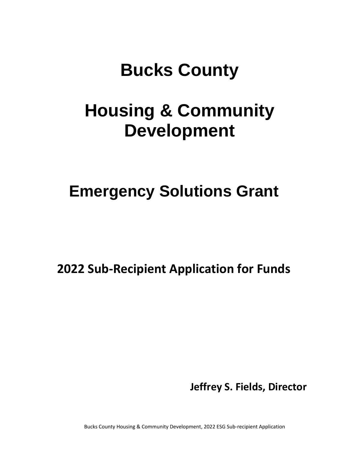# **Bucks County**

# **Housing & Community Development**

## **Emergency Solutions Grant**

**2022 Sub-Recipient Application for Funds**

**Jeffrey S. Fields, Director**

Bucks County Housing & Community Development, 2022 ESG Sub-recipient Application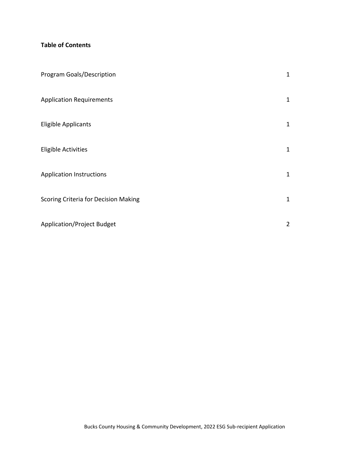### **Table of Contents**

| <b>Program Goals/Description</b>     | $\mathbf{1}$   |
|--------------------------------------|----------------|
| <b>Application Requirements</b>      | $\mathbf{1}$   |
| <b>Eligible Applicants</b>           | $\mathbf{1}$   |
| <b>Eligible Activities</b>           | $\mathbf 1$    |
| <b>Application Instructions</b>      | $\mathbf{1}$   |
| Scoring Criteria for Decision Making | $\mathbf{1}$   |
| <b>Application/Project Budget</b>    | $\overline{2}$ |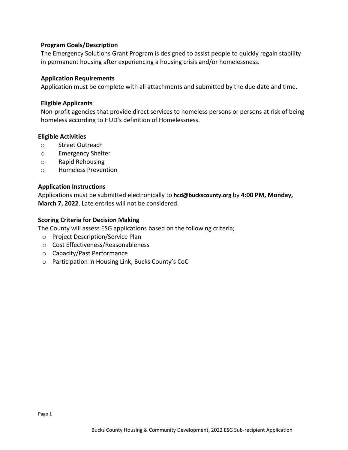#### **Program Goals/Description**

The Emergency Solutions Grant Program is designed to assist people to quickly regain stability in permanent housing after experiencing a housing crisis and/or homelessness.

#### **Application Requirements**

Application must be complete with all attachments and submitted by the due date and time.

#### **Eligible Applicants**

Non-profit agencies that provide direct services to homeless persons or persons at risk of being homeless according to HUD's definition of Homelessness.

#### **Eligible Activities**

- o Street Outreach
- o Emergency Shelter
- o Rapid Rehousing
- o Homeless Prevention

#### **Application Instructions**

Applications must be submitted electronically to **hcd@buckscounty.org** by **4:00 PM, Monday, March 7, 2022**. Late entries will not be considered.

#### **Scoring Criteria for Decision Making**

The County will assess ESG applications based on the following criteria;

- o Project Description/Service Plan
- o Cost Effectiveness/Reasonableness
- o Capacity/Past Performance
- o Participation in Housing Link, Bucks County's CoC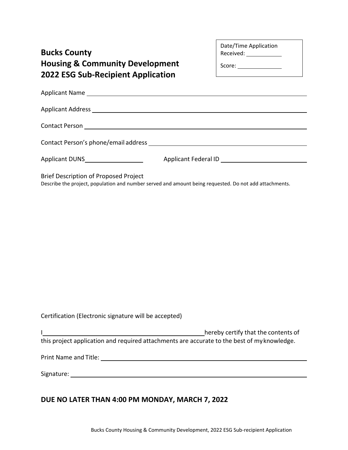| <b>Bucks County</b><br><b>Housing &amp; Community Development</b><br><b>2022 ESG Sub-Recipient Application</b>                                  | Date/Time Application<br>Received: ______________<br>Score: $\_$ |
|-------------------------------------------------------------------------------------------------------------------------------------------------|------------------------------------------------------------------|
|                                                                                                                                                 |                                                                  |
|                                                                                                                                                 |                                                                  |
|                                                                                                                                                 |                                                                  |
|                                                                                                                                                 |                                                                  |
|                                                                                                                                                 |                                                                  |
| Brief Description of Proposed Project<br>Describe the project, population and number served and amount being requested. Do not add attachments. |                                                                  |

Certification (Electronic signature will be accepted)

|                                                                                             | hereby certify that the contents of |
|---------------------------------------------------------------------------------------------|-------------------------------------|
| this project application and required attachments are accurate to the best of my knowledge. |                                     |

Print Name and Title:

Signature:

### **DUE NO LATER THAN 4:00 PM MONDAY, MARCH 7, 2022**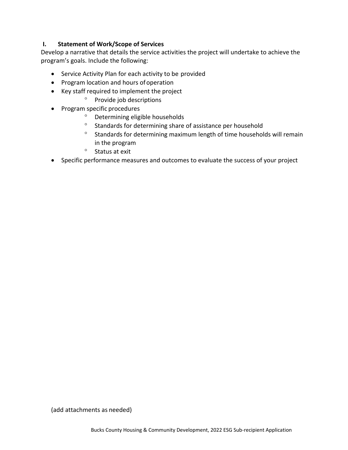#### **I. Statement of Work/Scope of Services**

Develop a narrative that details the service activities the project will undertake to achieve the program's goals. Include the following:

- Service Activity Plan for each activity to be provided
- Program location and hours of operation
- Key staff required to implement the project
	- <sup>o</sup> Provide job descriptions
- Program specific procedures
	- Determining eligible households
	- $\degree$  Standards for determining share of assistance per household
	- $\degree$  Standards for determining maximum length of time households will remain in the program
	- $\degree$  Status at exit
- Specific performance measures and outcomes to evaluate the success of your project

(add attachments as needed)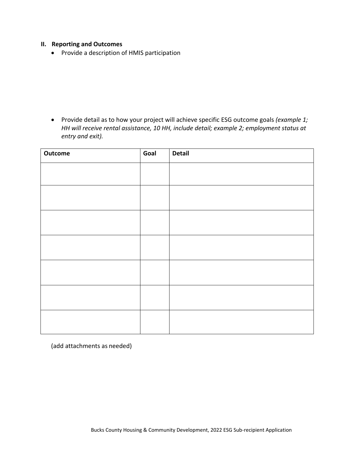#### **II. Reporting and Outcomes**

• Provide a description of HMIS participation

• Provide detail as to how your project will achieve specific ESG outcome goals *(example 1; HH will receive rental assistance, 10 HH, include detail; example 2; employment status at entry and exit).*

| Outcome | Goal | <b>Detail</b> |
|---------|------|---------------|
|         |      |               |
|         |      |               |
|         |      |               |
|         |      |               |
|         |      |               |
|         |      |               |
|         |      |               |
|         |      |               |
|         |      |               |
|         |      |               |
|         |      |               |
|         |      |               |
|         |      |               |
|         |      |               |

(add attachments as needed)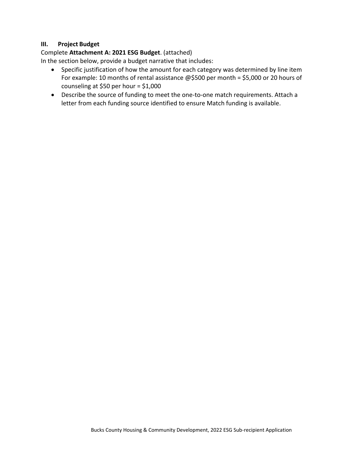#### **III. Project Budget**

#### Complete **Attachment A: 2021 ESG Budget**. (attached)

In the section below, provide a budget narrative that includes:

- Specific justification of how the amount for each category was determined by line item For example: 10 months of rental assistance @\$500 per month = \$5,000 or 20 hours of counseling at \$50 per hour = \$1,000
- Describe the source of funding to meet the one-to-one match requirements. Attach a letter from each funding source identified to ensure Match funding is available.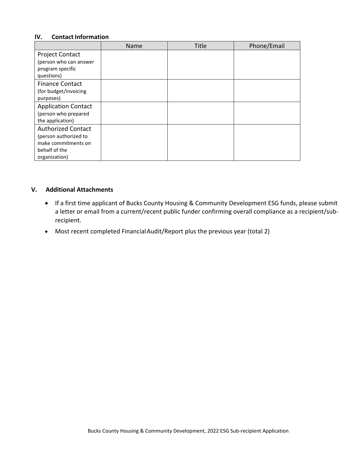#### **IV. Contact Information**

|                                                                                                             | Name | <b>Title</b> | Phone/Email |
|-------------------------------------------------------------------------------------------------------------|------|--------------|-------------|
| <b>Project Contact</b><br>(person who can answer<br>program specific<br>questions)                          |      |              |             |
| <b>Finance Contact</b><br>(for budget/invoicing<br>purposes)                                                |      |              |             |
| <b>Application Contact</b><br>(person who prepared<br>the application)                                      |      |              |             |
| <b>Authorized Contact</b><br>(person authorized to<br>make commitments on<br>behalf of the<br>organization) |      |              |             |

#### **V. Additional Attachments**

- If a first time applicant of Bucks County Housing & Community Development ESG funds, please submit a letter or email from a current/recent public funder confirming overall compliance as a recipient/subrecipient.
- Most recent completed FinancialAudit/Report plus the previous year (total 2)